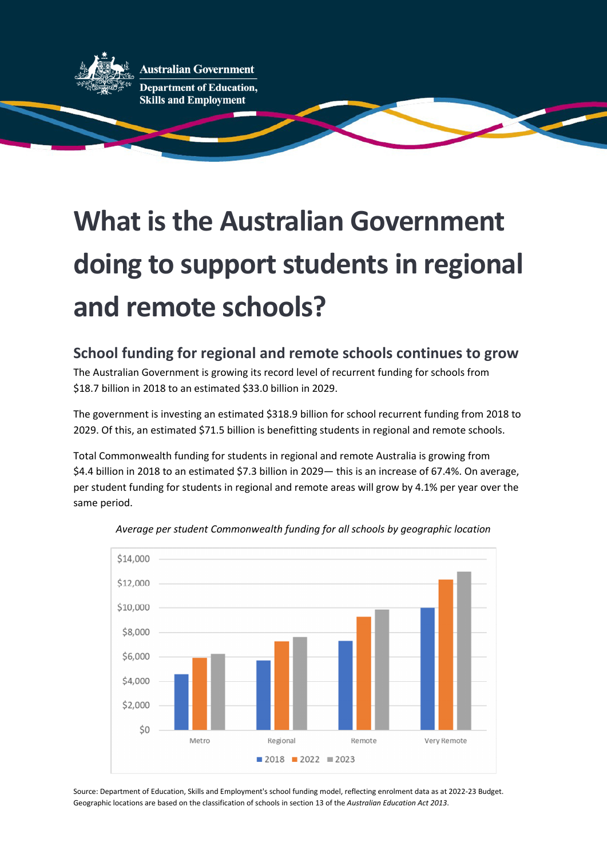

**Australian Government** 

#### **Department of Education, Skills and Employment**

# **What is the Australian Government doing to support students in regional and remote schools?**

### **School funding for regional and remote schools continues to grow**

The Australian Government is growing its record level of recurrent funding for schools from \$18.7 billion in 2018 to an estimated \$33.0 billion in 2029.

The government is investing an estimated \$318.9 billion for school recurrent funding from 2018 to 2029. Of this, an estimated \$71.5 billion is benefitting students in regional and remote schools.

Total Commonwealth funding for students in regional and remote Australia is growing from \$4.4 billion in 2018 to an estimated \$7.3 billion in 2029— this is an increase of 67.4%. On average, per student funding for students in regional and remote areas will grow by 4.1% per year over the same period.





Source: Department of Education, Skills and Employment's school funding model, reflecting enrolment data as at 2022-23 Budget. Geographic locations are based on the classification of schools in section 13 of the *Australian Education Act 2013*.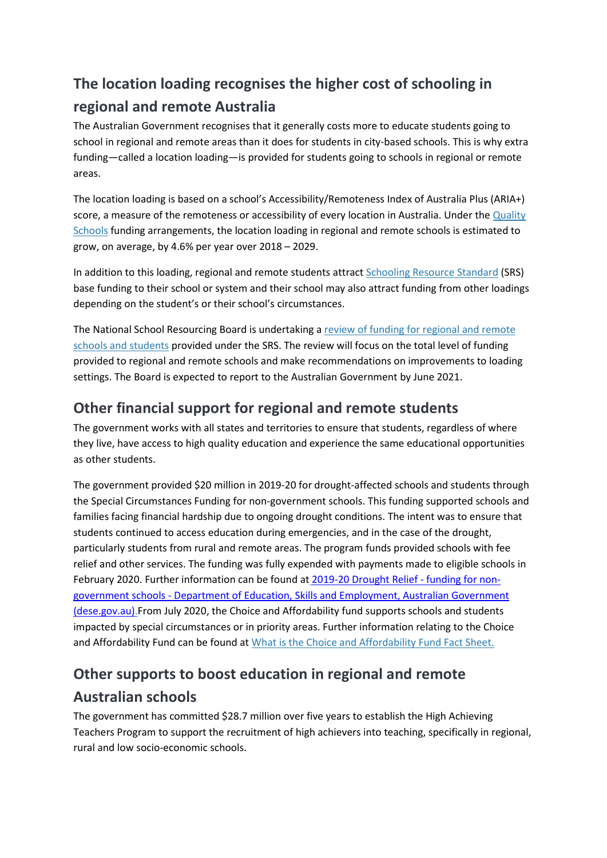## **The location loading recognises the higher cost of schooling in regional and remote Australia**

The Australian Government recognises that it generally costs more to educate students going to school in regional and remote areas than it does for students in city-based schools. This is why extra funding—called [a location loading—](https://www.education.gov.au/what-schooling-resource-standard-and-how-does-it-work)is provided for students going to schools in regional or remote areas.

The location loading is based on a school's Accessibility/Remoteness Index of Australia Plus (ARIA+) score, a measure of the remoteness or accessibility of every location in Australia. Under the **Quality** [Schools](https://www.dese.gov.au/quality-schools-package/quality-schools-fact-sheets) funding arrangements, the location loading in regional and remote schools is estimated to grow, on average, by 4.6% per year over 2018 – 2029.

In addition to this loading, regional and remote students attract [Schooling Resource Standard](https://www.dese.gov.au/quality-schools-package/fact-sheets/what-schooling-resource-standard-and-how-does-it-work) (SRS) base funding to their school or system and their school may also attract funding from other loadings depending on the student's or their school's circumstances.

The National School Resourcing Board is undertaking a [review of funding for regional and remote](https://www.dese.gov.au/national-school-resourcing-board/review-regional-schooling-resource-standards-loadings)  [schools and students](https://www.dese.gov.au/national-school-resourcing-board/review-regional-schooling-resource-standards-loadings) provided under the SRS. The review will focus on the total level of funding provided to regional and remote schools and make recommendations on improvements to loading settings. The Board is expected to report to the Australian Government by June 2021.

#### **Other financial support for regional and remote students**

The government works with all states and territories to ensure that students, regardless of where they live, have access to high quality education and experience the same educational opportunities as other students.

The government provided \$20 million in 2019-20 for drought-affected schools and students through the Special Circumstances Funding for non-government schools. This funding supported schools and families facing financial hardship due to ongoing drought conditions. The intent was to ensure that students continued to access education during emergencies, and in the case of the drought, particularly students from rural and remote areas. The program funds provided schools with fee relief and other services. The funding was fully expended with payments made to eligible schools in February 2020. Further information can be found at [2019-20 Drought Relief - funding for non](https://www.dese.gov.au/early-childhood/announcements/keeping-kids-drought-affected-areas-childcare-and-schools)[government schools - Department of Education, Skills and Employment, Australian Government](https://www.dese.gov.au/early-childhood/announcements/keeping-kids-drought-affected-areas-childcare-and-schools)  [\(dese.gov.au\).](https://www.dese.gov.au/school-funding/2019-20-drought-relief-funding-non-government-schools)From July 2020, the Choice and Affordability fund supports schools and students impacted by special circumstances or in priority areas. Further information relating to the Choice and Affordability Fund can be found at [What is the Choice and Affordability Fund Fact Sheet.](https://www.dese.gov.au/quality-schools-package/fact-sheets/what-choice-and-affordability-fund)

# **Other supports to boost education in regional and remote Australian schools**

The government has committed \$28.7 million over five years to establish the High Achieving Teachers Program to support the recruitment of high achievers into teaching, specifically in regional, rural and low socio-economic schools.